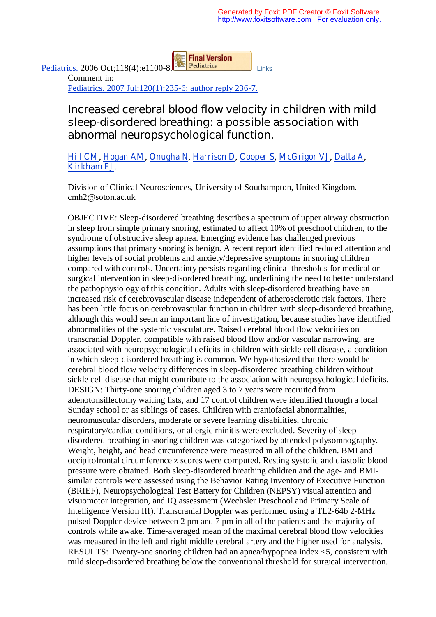**Final Version** Pediatrics. 2006 Oct;118(4):e1100-8. Pediatrics Links Comment in: Pediatrics. 2007 Jul;120(1):235-6; author reply 236-7.

## Increased cerebral blood flow velocity in children with mild sleep-disordered breathing: a possible association with abnormal neuropsychological function.

## Hill CM, Hogan AM, Onugha N, Harrison D, Cooper S, McGrigor VJ, Datta A, Kirkham FJ.

Division of Clinical Neurosciences, University of Southampton, United Kingdom. cmh2@soton.ac.uk

OBJECTIVE: Sleep-disordered breathing describes a spectrum of upper airway obstruction in sleep from simple primary snoring, estimated to affect 10% of preschool children, to the syndrome of obstructive sleep apnea. Emerging evidence has challenged previous assumptions that primary snoring is benign. A recent report identified reduced attention and higher levels of social problems and anxiety/depressive symptoms in snoring children compared with controls. Uncertainty persists regarding clinical thresholds for medical or surgical intervention in sleep-disordered breathing, underlining the need to better understand the pathophysiology of this condition. Adults with sleep-disordered breathing have an increased risk of cerebrovascular disease independent of atherosclerotic risk factors. There has been little focus on cerebrovascular function in children with sleep-disordered breathing, although this would seem an important line of investigation, because studies have identified abnormalities of the systemic vasculature. Raised cerebral blood flow velocities on transcranial Doppler, compatible with raised blood flow and/or vascular narrowing, are associated with neuropsychological deficits in children with sickle cell disease, a condition in which sleep-disordered breathing is common. We hypothesized that there would be cerebral blood flow velocity differences in sleep-disordered breathing children without sickle cell disease that might contribute to the association with neuropsychological deficits. DESIGN: Thirty-one snoring children aged 3 to 7 years were recruited from adenotonsillectomy waiting lists, and 17 control children were identified through a local Sunday school or as siblings of cases. Children with craniofacial abnormalities, neuromuscular disorders, moderate or severe learning disabilities, chronic respiratory/cardiac conditions, or allergic rhinitis were excluded. Severity of sleepdisordered breathing in snoring children was categorized by attended polysomnography. Weight, height, and head circumference were measured in all of the children. BMI and occipitofrontal circumference z scores were computed. Resting systolic and diastolic blood pressure were obtained. Both sleep-disordered breathing children and the age- and BMIsimilar controls were assessed using the Behavior Rating Inventory of Executive Function (BRIEF), Neuropsychological Test Battery for Children (NEPSY) visual attention and visuomotor integration, and IQ assessment (Wechsler Preschool and Primary Scale of Intelligence Version III). Transcranial Doppler was performed using a TL2-64b 2-MHz pulsed Doppler device between 2 pm and 7 pm in all of the patients and the majority of controls while awake. Time-averaged mean of the maximal cerebral blood flow velocities was measured in the left and right middle cerebral artery and the higher used for analysis. RESULTS: Twenty-one snoring children had an apnea/hypopnea index <5, consistent with mild sleep-disordered breathing below the conventional threshold for surgical intervention.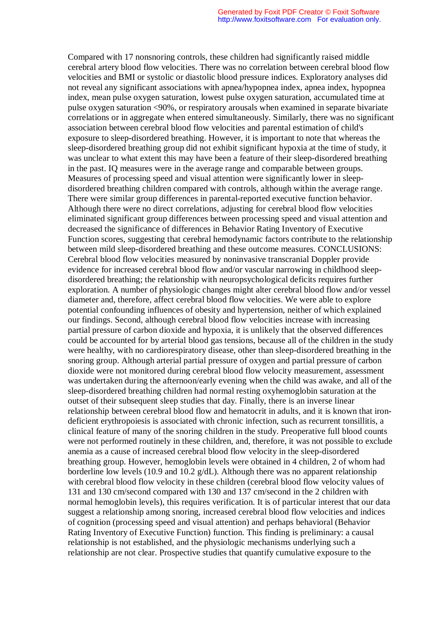Compared with 17 nonsnoring controls, these children had significantly raised middle cerebral artery blood flow velocities. There was no correlation between cerebral blood flow velocities and BMI or systolic or diastolic blood pressure indices. Exploratory analyses did not reveal any significant associations with apnea/hypopnea index, apnea index, hypopnea index, mean pulse oxygen saturation, lowest pulse oxygen saturation, accumulated time at pulse oxygen saturation <90%, or respiratory arousals when examined in separate bivariate correlations or in aggregate when entered simultaneously. Similarly, there was no significant association between cerebral blood flow velocities and parental estimation of child's exposure to sleep-disordered breathing. However, it is important to note that whereas the sleep-disordered breathing group did not exhibit significant hypoxia at the time of study, it was unclear to what extent this may have been a feature of their sleep-disordered breathing in the past. IQ measures were in the average range and comparable between groups. Measures of processing speed and visual attention were significantly lower in sleepdisordered breathing children compared with controls, although within the average range. There were similar group differences in parental-reported executive function behavior. Although there were no direct correlations, adjusting for cerebral blood flow velocities eliminated significant group differences between processing speed and visual attention and decreased the significance of differences in Behavior Rating Inventory of Executive Function scores, suggesting that cerebral hemodynamic factors contribute to the relationship between mild sleep-disordered breathing and these outcome measures. CONCLUSIONS: Cerebral blood flow velocities measured by noninvasive transcranial Doppler provide evidence for increased cerebral blood flow and/or vascular narrowing in childhood sleepdisordered breathing; the relationship with neuropsychological deficits requires further exploration. A number of physiologic changes might alter cerebral blood flow and/or vessel diameter and, therefore, affect cerebral blood flow velocities. We were able to explore potential confounding influences of obesity and hypertension, neither of which explained our findings. Second, although cerebral blood flow velocities increase with increasing partial pressure of carbon dioxide and hypoxia, it is unlikely that the observed differences could be accounted for by arterial blood gas tensions, because all of the children in the study were healthy, with no cardiorespiratory disease, other than sleep-disordered breathing in the snoring group. Although arterial partial pressure of oxygen and partial pressure of carbon dioxide were not monitored during cerebral blood flow velocity measurement, assessment was undertaken during the afternoon/early evening when the child was awake, and all of the sleep-disordered breathing children had normal resting oxyhemoglobin saturation at the outset of their subsequent sleep studies that day. Finally, there is an inverse linear relationship between cerebral blood flow and hematocrit in adults, and it is known that irondeficient erythropoiesis is associated with chronic infection, such as recurrent tonsillitis, a clinical feature of many of the snoring children in the study. Preoperative full blood counts were not performed routinely in these children, and, therefore, it was not possible to exclude anemia as a cause of increased cerebral blood flow velocity in the sleep-disordered breathing group. However, hemoglobin levels were obtained in 4 children, 2 of whom had borderline low levels (10.9 and 10.2  $g/dL$ ). Although there was no apparent relationship with cerebral blood flow velocity in these children (cerebral blood flow velocity values of 131 and 130 cm/second compared with 130 and 137 cm/second in the 2 children with normal hemoglobin levels), this requires verification. It is of particular interest that our data suggest a relationship among snoring, increased cerebral blood flow velocities and indices of cognition (processing speed and visual attention) and perhaps behavioral (Behavior Rating Inventory of Executive Function) function. This finding is preliminary: a causal relationship is not established, and the physiologic mechanisms underlying such a relationship are not clear. Prospective studies that quantify cumulative exposure to the